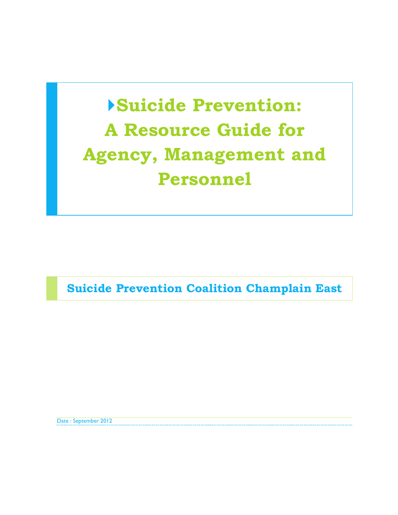# **Suicide Prevention: A Resource Guide for Agency, Management and Personnel**

**Suicide Prevention Coalition Champlain East**

Date : September 2012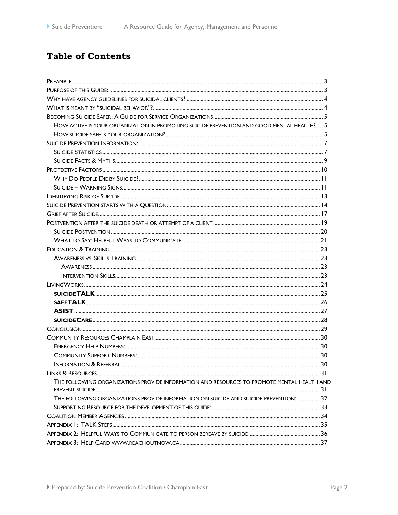# **Table of Contents**

| HOW ACTIVE IS YOUR ORGANIZATION IN PROMOTING SUICIDE PREVENTION AND GOOD MENTAL HEALTH? 5  |  |
|--------------------------------------------------------------------------------------------|--|
|                                                                                            |  |
|                                                                                            |  |
|                                                                                            |  |
|                                                                                            |  |
|                                                                                            |  |
|                                                                                            |  |
|                                                                                            |  |
|                                                                                            |  |
|                                                                                            |  |
|                                                                                            |  |
|                                                                                            |  |
|                                                                                            |  |
|                                                                                            |  |
|                                                                                            |  |
|                                                                                            |  |
|                                                                                            |  |
|                                                                                            |  |
|                                                                                            |  |
|                                                                                            |  |
|                                                                                            |  |
|                                                                                            |  |
|                                                                                            |  |
|                                                                                            |  |
|                                                                                            |  |
|                                                                                            |  |
|                                                                                            |  |
|                                                                                            |  |
|                                                                                            |  |
| THE FOLLOWING ORGANIZATIONS PROVIDE INFORMATION AND RESOURCES TO PROMOTE MENTAL HEALTH AND |  |
|                                                                                            |  |
| THE FOLLOWING ORGANIZATIONS PROVIDE INFORMATION ON SUICIDE AND SUICIDE PREVENTION:  32     |  |
|                                                                                            |  |
|                                                                                            |  |
|                                                                                            |  |
|                                                                                            |  |
|                                                                                            |  |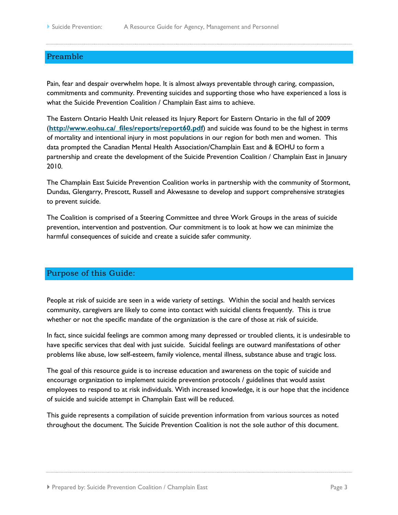# <span id="page-2-0"></span>Preamble

Pain, fear and despair overwhelm hope. It is almost always preventable through caring, compassion, commitments and community. Preventing suicides and supporting those who have experienced a loss is what the Suicide Prevention Coalition / Champlain East aims to achieve.

The Eastern Ontario Health Unit released its Injury Report for Eastern Ontario in the fall of 2009 (**[http://www.eohu.ca/\\_files/reports/report60.pdf](http://www.eohu.ca/_files/reports/report60.pdf)**) and suicide was found to be the highest in terms of mortality and intentional injury in most populations in our region for both men and women. This data prompted the Canadian Mental Health Association/Champlain East and & EOHU to form a partnership and create the development of the Suicide Prevention Coalition / Champlain East in January 2010.

The Champlain East Suicide Prevention Coalition works in partnership with the community of Stormont, Dundas, Glengarry, Prescott, Russell and Akwesasne to develop and support comprehensive strategies to prevent suicide.

The Coalition is comprised of a Steering Committee and three Work Groups in the areas of suicide prevention, intervention and postvention. Our commitment is to look at how we can minimize the harmful consequences of suicide and create a suicide safer community.

# <span id="page-2-1"></span>Purpose of this Guide:

People at risk of suicide are seen in a wide variety of settings. Within the social and health services community, caregivers are likely to come into contact with suicidal clients frequently. This is true whether or not the specific mandate of the organization is the care of those at risk of suicide.

In fact, since suicidal feelings are common among many depressed or troubled clients, it is undesirable to have specific services that deal with just suicide. Suicidal feelings are outward manifestations of other problems like abuse, low self-esteem, family violence, mental illness, substance abuse and tragic loss.

The goal of this resource guide is to increase education and awareness on the topic of suicide and encourage organization to implement suicide prevention protocols / guidelines that would assist employees to respond to at risk individuals. With increased knowledge, it is our hope that the incidence of suicide and suicide attempt in Champlain East will be reduced.

This guide represents a compilation of suicide prevention information from various sources as noted throughout the document. The Suicide Prevention Coalition is not the sole author of this document.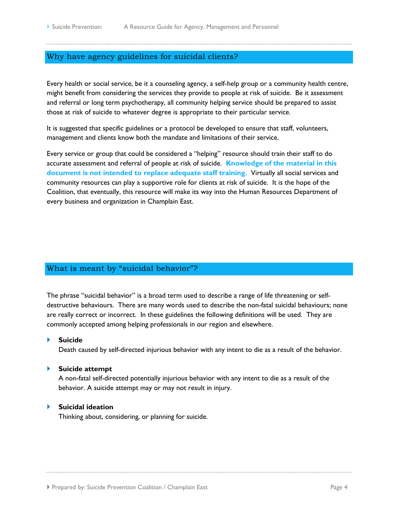# <span id="page-3-0"></span>Why have agency guidelines for suicidal clients?

Every health or social service, be it a counseling agency, a self-help group or a community health centre, might benefit from considering the services they provide to people at risk of suicide. Be it assessment and referral or long term psychotherapy, all community helping service should be prepared to assist those at risk of suicide to whatever degree is appropriate to their particular service.

It is suggested that specific guidelines or a protocol be developed to ensure that staff, volunteers, management and clients know both the mandate and limitations of their service.

Every service or group that could be considered a "helping" resource should train their staff to do accurate assessment and referral of people at risk of suicide. **Knowledge of the material in this document is not intended to replace adequate staff training.** Virtually all social services and community resources can play a supportive role for clients at risk of suicide. It is the hope of the Coalition, that eventually, this resource will make its way into the Human Resources Department of every business and organization in Champlain East.

# <span id="page-3-1"></span>What is meant by "suicidal behavior"?

The phrase "suicidal behavior" is a broad term used to describe a range of life threatening or selfdestructive behaviours. There are many words used to describe the non-fatal suicidal behaviours; none are really correct or incorrect. In these guidelines the following definitions will be used. They are commonly accepted among helping professionals in our region and elsewhere.

#### **Suicide**

Death caused by self-directed injurious behavior with any intent to die as a result of the behavior.

#### **Suicide attempt**

A non-fatal self-directed potentially injurious behavior with any intent to die as a result of the behavior. A suicide attempt may or may not result in injury.

#### **Suicidal ideation**

Thinking about, considering, or planning for suicide.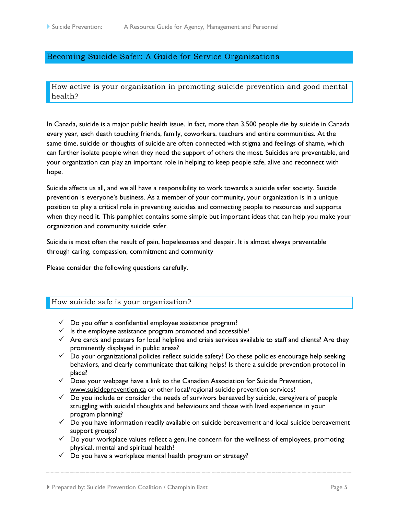# <span id="page-4-0"></span>Becoming Suicide Safer: A Guide for Service Organizations

<span id="page-4-1"></span>How active is your organization in promoting suicide prevention and good mental health?

In Canada, suicide is a major public health issue. In fact, more than 3,500 people die by suicide in Canada every year, each death touching friends, family, coworkers, teachers and entire communities. At the same time, suicide or thoughts of suicide are often connected with stigma and feelings of shame, which can further isolate people when they need the support of others the most. Suicides are preventable, and your organization can play an important role in helping to keep people safe, alive and reconnect with hope.

Suicide affects us all, and we all have a responsibility to work towards a suicide safer society. Suicide prevention is everyone's business. As a member of your community, your organization is in a unique position to play a critical role in preventing suicides and connecting people to resources and supports when they need it. This pamphlet contains some simple but important ideas that can help you make your organization and community suicide safer.

Suicide is most often the result of pain, hopelessness and despair. It is almost always preventable through caring, compassion, commitment and community

Please consider the following questions carefully.

#### <span id="page-4-2"></span>How suicide safe is your organization?

- $\checkmark$  Do you offer a confidential employee assistance program?
- $\checkmark$  Is the employee assistance program promoted and accessible?
- $\checkmark$  Are cards and posters for local helpline and crisis services available to staff and clients? Are they prominently displayed in public areas?
- $\checkmark$  Do your organizational policies reflect suicide safety? Do these policies encourage help seeking behaviors, and clearly communicate that talking helps? Is there a suicide prevention protocol in place?
- $\checkmark$  Does your webpage have a link to the Canadian Association for Suicide Prevention, www.suicideprevention.ca or other local/regional suicide prevention services?
- $\checkmark$  Do you include or consider the needs of survivors bereaved by suicide, caregivers of people struggling with suicidal thoughts and behaviours and those with lived experience in your program planning?
- $\checkmark$  Do you have information readily available on suicide bereavement and local suicide bereavement support groups?
- $\checkmark$  Do your workplace values reflect a genuine concern for the wellness of employees, promoting physical, mental and spiritual health?
- $\checkmark$  Do you have a workplace mental health program or strategy?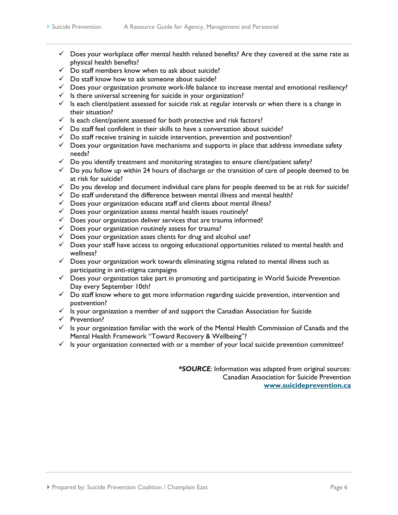- $\checkmark$  Does your workplace offer mental health related benefits? Are they covered at the same rate as physical health benefits?
- $\checkmark$  Do staff members know when to ask about suicide?
- $\checkmark$  Do staff know how to ask someone about suicide?
- $\checkmark$  Does your organization promote work-life balance to increase mental and emotional resiliency?
- $\checkmark$  Is there universal screening for suicide in your organization?
- $\checkmark$  Is each client/patient assessed for suicide risk at regular intervals or when there is a change in their situation?
- $\checkmark$  Is each client/patient assessed for both protective and risk factors?
- $\checkmark$  Do staff feel confident in their skills to have a conversation about suicide?
- $\checkmark$  Do staff receive training in suicide intervention, prevention and postvention?
- $\checkmark$  Does your organization have mechanisms and supports in place that address immediate safety needs?
- $\checkmark$  Do you identify treatment and monitoring strategies to ensure client/patient safety?
- $\checkmark$  Do you follow up within 24 hours of discharge or the transition of care of people deemed to be at risk for suicide?
- $\checkmark$  Do you develop and document individual care plans for people deemed to be at risk for suicide?
- $\checkmark$  Do staff understand the difference between mental illness and mental health?
- $\checkmark$  Does your organization educate staff and clients about mental illness?
- $\checkmark$  Does your organization assess mental health issues routinely?
- $\checkmark$  Does your organization deliver services that are trauma informed?
- $\checkmark$  Does your organization routinely assess for trauma?
- $\checkmark$  Does your organization asses clients for drug and alcohol use?
- $\checkmark$  Does your staff have access to ongoing educational opportunities related to mental health and wellness?
- $\checkmark$  Does your organization work towards eliminating stigma related to mental illness such as participating in anti-stigma campaigns
- $\checkmark$  Does your organization take part in promoting and participating in World Suicide Prevention Day every September 10th?
- $\checkmark$  Do staff know where to get more information regarding suicide prevention, intervention and postvention?
- $\checkmark$  is your organization a member of and support the Canadian Association for Suicide
- $\checkmark$  Prevention?
- $\checkmark$  Is your organization familiar with the work of the Mental Health Commission of Canada and the Mental Health Framework "Toward Recovery & Wellbeing"?
- $\checkmark$  Is your organization connected with or a member of your local suicide prevention committee?

*\*SOURCE:* Information was adapted from original sources: Canadian Association for Suicide Prevention **[www.suicideprevention.ca](http://www.suicideprevention.ca/)**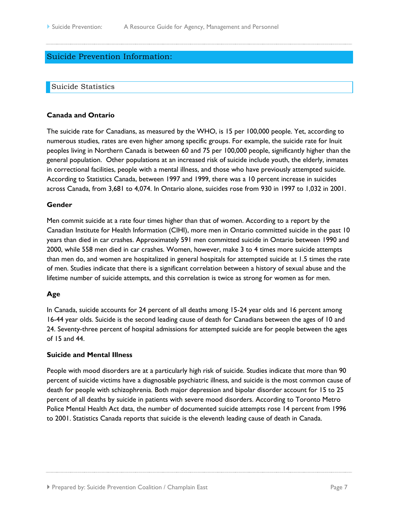# <span id="page-6-0"></span>Suicide Prevention Information:

#### <span id="page-6-1"></span>Suicide Statistics

#### **Canada and Ontario**

The suicide rate for Canadians, as measured by the WHO, is 15 per 100,000 people. Yet, according to numerous studies, rates are even higher among specific groups. For example, the suicide rate for Inuit peoples living in Northern Canada is between 60 and 75 per 100,000 people, significantly higher than the general population. Other populations at an increased risk of suicide include youth, the elderly, inmates in correctional facilities, people with a mental illness, and those who have previously attempted suicide. According to Statistics Canada, between 1997 and 1999, there was a 10 percent increase in suicides across Canada, from 3,681 to 4,074. In Ontario alone, suicides rose from 930 in 1997 to 1,032 in 2001.

#### **Gender**

Men commit suicide at a rate four times higher than that of women. According to a report by the Canadian Institute for Health Information (CIHI), more men in Ontario committed suicide in the past 10 years than died in car crashes. Approximately 591 men committed suicide in Ontario between 1990 and 2000, while 558 men died in car crashes. Women, however, make 3 to 4 times more suicide attempts than men do, and women are hospitalized in general hospitals for attempted suicide at 1.5 times the rate of men. Studies indicate that there is a significant correlation between a history of sexual abuse and the lifetime number of suicide attempts, and this correlation is twice as strong for women as for men.

#### **Age**

In Canada, suicide accounts for 24 percent of all deaths among 15-24 year olds and 16 percent among 16-44 year olds. Suicide is the second leading cause of death for Canadians between the ages of 10 and 24. Seventy-three percent of hospital admissions for attempted suicide are for people between the ages of 15 and 44.

#### **Suicide and Mental Illness**

People with mood disorders are at a particularly high risk of suicide. Studies indicate that more than 90 percent of suicide victims have a diagnosable psychiatric illness, and suicide is the most common cause of death for people with schizophrenia. Both major depression and bipolar disorder account for 15 to 25 percent of all deaths by suicide in patients with severe mood disorders. According to Toronto Metro Police Mental Health Act data, the number of documented suicide attempts rose 14 percent from 1996 to 2001. Statistics Canada reports that suicide is the eleventh leading cause of death in Canada.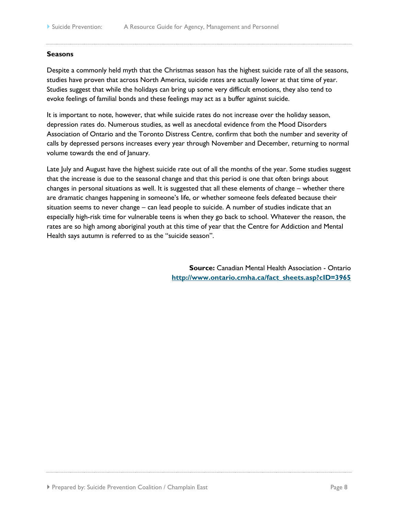#### **Seasons**

Despite a commonly held myth that the Christmas season has the highest suicide rate of all the seasons, studies have proven that across North America, suicide rates are actually lower at that time of year. Studies suggest that while the holidays can bring up some very difficult emotions, they also tend to evoke feelings of familial bonds and these feelings may act as a buffer against suicide.

It is important to note, however, that while suicide rates do not increase over the holiday season, depression rates do. Numerous studies, as well as anecdotal evidence from the Mood Disorders Association of Ontario and the Toronto Distress Centre, confirm that both the number and severity of calls by depressed persons increases every year through November and December, returning to normal volume towards the end of January.

Late July and August have the highest suicide rate out of all the months of the year. Some studies suggest that the increase is due to the seasonal change and that this period is one that often brings about changes in personal situations as well. It is suggested that all these elements of change – whether there are dramatic changes happening in someone's life, or whether someone feels defeated because their situation seems to never change – can lead people to suicide. A number of studies indicate that an especially high-risk time for vulnerable teens is when they go back to school. Whatever the reason, the rates are so high among aboriginal youth at this time of year that the Centre for Addiction and Mental Health says autumn is referred to as the "suicide season".

> **Source:** Canadian Mental Health Association - Ontario **[http://www.ontario.cmha.ca/fact\\_sheets.asp?cID=3965](http://www.ontario.cmha.ca/fact_sheets.asp?cID=3965)**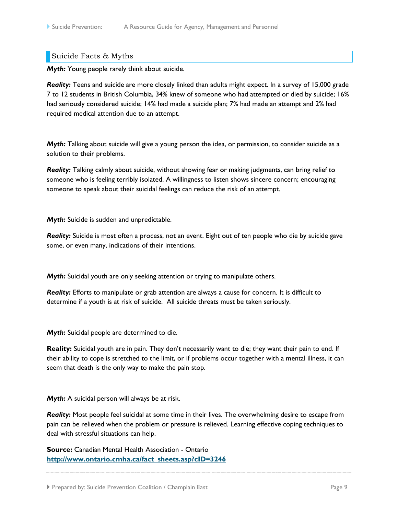#### <span id="page-8-0"></span>Suicide Facts & Myths

*Myth:* Young people rarely think about suicide.

*Reality:* Teens and suicide are more closely linked than adults might expect. In a survey of 15,000 grade 7 to 12 students in British Columbia, 34% knew of someone who had attempted or died by suicide; 16% had seriously considered suicide; 14% had made a suicide plan; 7% had made an attempt and 2% had required medical attention due to an attempt.

*Myth:* Talking about suicide will give a young person the idea, or permission, to consider suicide as a solution to their problems.

*Reality:* Talking calmly about suicide, without showing fear or making judgments, can bring relief to someone who is feeling terribly isolated. A willingness to listen shows sincere concern; encouraging someone to speak about their suicidal feelings can reduce the risk of an attempt.

*Myth:* Suicide is sudden and unpredictable.

*Reality:* Suicide is most often a process, not an event. Eight out of ten people who die by suicide gave some, or even many, indications of their intentions.

*Myth:* Suicidal youth are only seeking attention or trying to manipulate others.

*Reality:* Efforts to manipulate or grab attention are always a cause for concern. It is difficult to determine if a youth is at risk of suicide. All suicide threats must be taken seriously.

*Myth:* Suicidal people are determined to die.

**Reality:** Suicidal youth are in pain. They don't necessarily want to die; they want their pain to end. If their ability to cope is stretched to the limit, or if problems occur together with a mental illness, it can seem that death is the only way to make the pain stop.

*Myth:* A suicidal person will always be at risk.

*Reality:* Most people feel suicidal at some time in their lives. The overwhelming desire to escape from pain can be relieved when the problem or pressure is relieved. Learning effective coping techniques to deal with stressful situations can help.

**Source:** Canadian Mental Health Association - Ontario **[http://www.ontario.cmha.ca/fact\\_sheets.asp?cID=3246](http://www.ontario.cmha.ca/fact_sheets.asp?cID=3246)**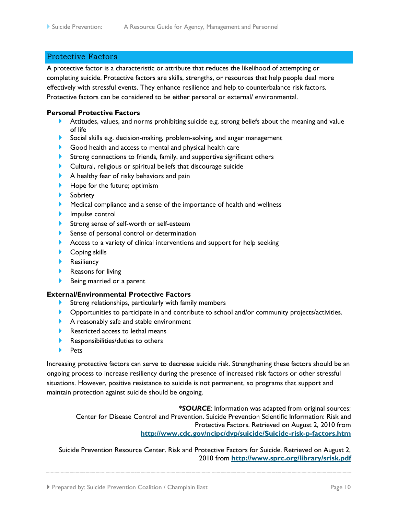### <span id="page-9-0"></span>Protective Factors

A protective factor is a characteristic or attribute that reduces the likelihood of attempting or completing suicide. Protective factors are skills, strengths, or resources that help people deal more effectively with stressful events. They enhance resilience and help to counterbalance risk factors. Protective factors can be considered to be either personal or external/ environmental.

#### **Personal Protective Factors**

- Attitudes, values, and norms prohibiting suicide e.g. strong beliefs about the meaning and value of life
- Social skills e.g. decision-making, problem-solving, and anger management
- Good health and access to mental and physical health care
- Strong connections to friends, family, and supportive significant others
- Cultural, religious or spiritual beliefs that discourage suicide
- A healthy fear of risky behaviors and pain
- Hope for the future; optimism
- Sobriety
- Medical compliance and a sense of the importance of health and wellness
- Impulse control
- Strong sense of self-worth or self-esteem
- Sense of personal control or determination
- Access to a variety of clinical interventions and support for help seeking
- Coping skills
- **Resiliency**
- Reasons for living
- Being married or a parent

#### **External/Environmental Protective Factors**

- Strong relationships, particularly with family members
- **Deportunities to participate in and contribute to school and/or community projects/activities.**
- A reasonably safe and stable environment
- Restricted access to lethal means
- **Responsibilities/duties to others**
- **Pets**

Increasing protective factors can serve to decrease suicide risk. Strengthening these factors should be an ongoing process to increase resiliency during the presence of increased risk factors or other stressful situations. However, positive resistance to suicide is not permanent, so programs that support and maintain protection against suicide should be ongoing.

*\*SOURCE:* Information was adapted from original sources: Center for Disease Control and Prevention. Suicide Prevention Scientific Information: Risk and Protective Factors. Retrieved on August 2, 2010 from **<http://www.cdc.gov/ncipc/dvp/suicide/Suicide-risk-p-factors.htm>**

Suicide Prevention Resource Center. Risk and Protective Factors for Suicide. Retrieved on August 2, 2010 from **<http://www.sprc.org/library/srisk.pdf>**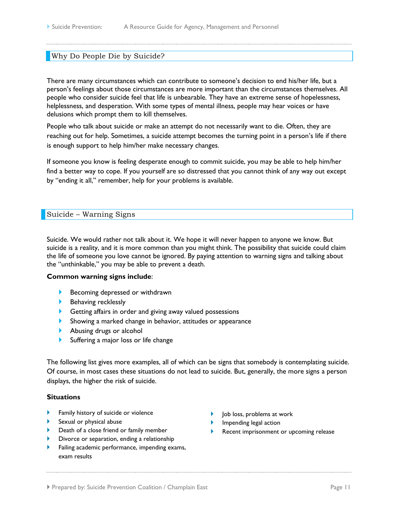### <span id="page-10-0"></span>Why Do People Die by Suicide?

There are many circumstances which can contribute to someone's decision to end his/her life, but a person's feelings about those circumstances are more important than the circumstances themselves. All people who consider suicide feel that life is unbearable. They have an extreme sense of hopelessness, helplessness, and desperation. With some types of mental illness, people may hear voices or have delusions which prompt them to kill themselves.

People who talk about suicide or make an attempt do not necessarily want to die. Often, they are reaching out for help. Sometimes, a suicide attempt becomes the turning point in a person's life if there is enough support to help him/her make necessary changes.

If someone you know is feeling desperate enough to commit suicide, you may be able to help him/her find a better way to cope. If you yourself are so distressed that you cannot think of any way out except by "ending it all," remember, help for your problems is available.

#### <span id="page-10-1"></span>Suicide – Warning Signs

Suicide. We would rather not talk about it. We hope it will never happen to anyone we know. But suicide is a reality, and it is more common than you might think. The possibility that suicide could claim the life of someone you love cannot be ignored. By paying attention to warning signs and talking about the "unthinkable," you may be able to prevent a death.

#### **Common warning signs include**:

- Becoming depressed or withdrawn
- Behaving recklessly
- Getting affairs in order and giving away valued possessions
- Showing a marked change in behavior, attitudes or appearance
- Abusing drugs or alcohol
- Suffering a major loss or life change

The following list gives more examples, all of which can be signs that somebody is contemplating suicide. Of course, in most cases these situations do not lead to suicide. But, generally, the more signs a person displays, the higher the risk of suicide.

#### **Situations**

- Family history of suicide or violence
- Sexual or physical abuse
- **Death of a close friend or family member**
- Divorce or separation, ending a relationship
- Failing academic performance, impending exams, exam results
- Job loss, problems at work
- Impending legal action
- Recent imprisonment or upcoming release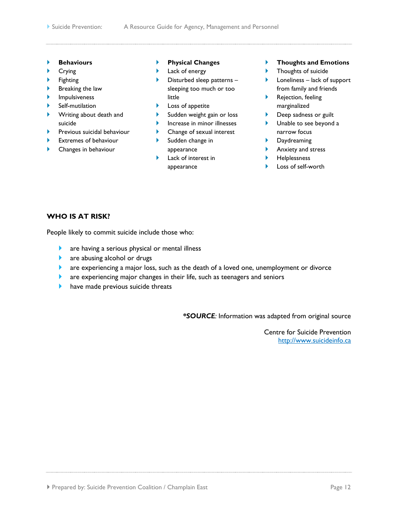- **Behaviours**
- Crying
- Fighting
- Breaking the law
- Impulsiveness
- Self-mutilation
- **Writing about death and** suicide
- Previous suicidal behaviour
- Extremes of behaviour
- Changes in behaviour
- **Physical Changes**
- **Lack of energy**
- $\blacktriangleright$  Disturbed sleep patterns sleeping too much or too little
- $\blacktriangleright$  Loss of appetite
- **Sudden weight gain or loss**
- $\blacktriangleright$  Increase in minor illnesses
- **Change of sexual interest**
- Sudden change in appearance
- **Lack of interest in** appearance
- **Thoughts and Emotions**
- **FI** Thoughts of suicide
- $\blacktriangleright$  Loneliness lack of support from family and friends
- Rejection, feeling marginalized
- **Deep sadness or guilt**
- **Unable to see beyond a** narrow focus
- **Daydreaming**
- Anxiety and stress
- Helplessness
- Loss of self-worth

# **WHO IS AT RISK?**

People likely to commit suicide include those who:

- are having a serious physical or mental illness
- **a** are abusing alcohol or drugs
- are experiencing a major loss, such as the death of a loved one, unemployment or divorce
- **a** are experiencing major changes in their life, such as teenagers and seniors
- have made previous suicide threats

*\*SOURCE:* Information was adapted from original source

Centre for Suicide Prevention [http://www.suicideinfo.ca](http://www.suicideinfo.ca/)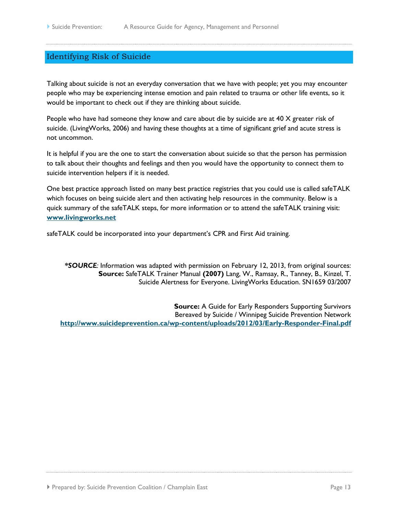# <span id="page-12-0"></span>Identifying Risk of Suicide

Talking about suicide is not an everyday conversation that we have with people; yet you may encounter people who may be experiencing intense emotion and pain related to trauma or other life events, so it would be important to check out if they are thinking about suicide.

People who have had someone they know and care about die by suicide are at 40 X greater risk of suicide. (LivingWorks, 2006) and having these thoughts at a time of significant grief and acute stress is not uncommon.

It is helpful if you are the one to start the conversation about suicide so that the person has permission to talk about their thoughts and feelings and then you would have the opportunity to connect them to suicide intervention helpers if it is needed.

One best practice approach listed on many best practice registries that you could use is called safeTALK which focuses on being suicide alert and then activating help resources in the community. Below is a quick summary of the safeTALK steps, for more information or to attend the safeTALK training visit: **[www.livingworks.net](http://www.livingworks.net/)**

safeTALK could be incorporated into your department's CPR and First Aid training.

*\*SOURCE:* Information was adapted with permission on February 12, 2013, from original sources: **Source:** SafeTALK Trainer Manual **(2007)** Lang, W., Ramsay, R., Tanney, B., Kinzel, T. Suicide Alertness for Everyone. LivingWorks Education. SN1659 03/2007

**Source:** A Guide for Early Responders Supporting Survivors Bereaved by Suicide / Winnipeg Suicide Prevention Network **<http://www.suicideprevention.ca/wp-content/uploads/2012/03/Early-Responder-Final.pdf>**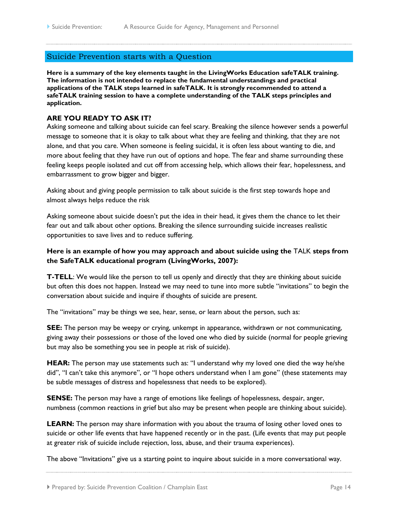# <span id="page-13-0"></span>Suicide Prevention starts with a Question

**Here is a summary of the key elements taught in the LivingWorks Education safeTALK training. The information is not intended to replace the fundamental understandings and practical applications of the TALK steps learned in safeTALK. It is strongly recommended to attend a safeTALK training session to have a complete understanding of the TALK steps principles and application.**

#### **ARE YOU READY TO ASK IT?**

Asking someone and talking about suicide can feel scary. Breaking the silence however sends a powerful message to someone that it is okay to talk about what they are feeling and thinking, that they are not alone, and that you care. When someone is feeling suicidal, it is often less about wanting to die, and more about feeling that they have run out of options and hope. The fear and shame surrounding these feeling keeps people isolated and cut off from accessing help, which allows their fear, hopelessness, and embarrassment to grow bigger and bigger.

Asking about and giving people permission to talk about suicide is the first step towards hope and almost always helps reduce the risk

Asking someone about suicide doesn't put the idea in their head, it gives them the chance to let their fear out and talk about other options. Breaking the silence surrounding suicide increases realistic opportunities to save lives and to reduce suffering.

# **Here is an example of how you may approach and about suicide using the** TALK **steps from the SafeTALK educational program (LivingWorks, 2007):**

**T-TELL**: We would like the person to tell us openly and directly that they are thinking about suicide but often this does not happen. Instead we may need to tune into more subtle "invitations" to begin the conversation about suicide and inquire if thoughts of suicide are present.

The "invitations" may be things we see, hear, sense, or learn about the person, such as:

**SEE:** The person may be weepy or crying, unkempt in appearance, withdrawn or not communicating, giving away their possessions or those of the loved one who died by suicide (normal for people grieving but may also be something you see in people at risk of suicide).

**HEAR:** The person may use statements such as: "I understand why my loved one died the way he/she did", "I can't take this anymore", or "I hope others understand when I am gone" (these statements may be subtle messages of distress and hopelessness that needs to be explored).

**SENSE:** The person may have a range of emotions like feelings of hopelessness, despair, anger, numbness (common reactions in grief but also may be present when people are thinking about suicide).

**LEARN:** The person may share information with you about the trauma of losing other loved ones to suicide or other life events that have happened recently or in the past. (Life events that may put people at greater risk of suicide include rejection, loss, abuse, and their trauma experiences).

The above "Invitations" give us a starting point to inquire about suicide in a more conversational way.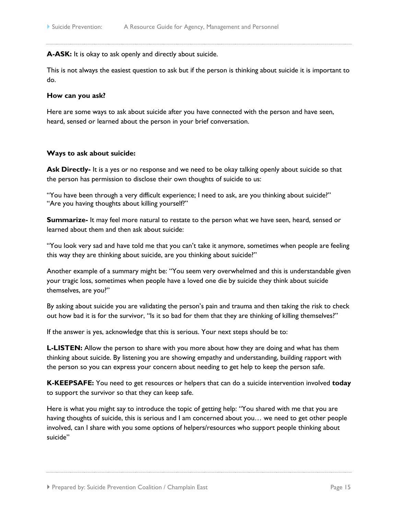**A-ASK:** It is okay to ask openly and directly about suicide.

This is not always the easiest question to ask but if the person is thinking about suicide it is important to do.

#### **How can you ask?**

Here are some ways to ask about suicide after you have connected with the person and have seen, heard, sensed or learned about the person in your brief conversation.

#### **Ways to ask about suicide:**

**Ask Directly-** It is a yes or no response and we need to be okay talking openly about suicide so that the person has permission to disclose their own thoughts of suicide to us:

"You have been through a very difficult experience; I need to ask, are you thinking about suicide?" "Are you having thoughts about killing yourself?"

**Summarize-** It may feel more natural to restate to the person what we have seen, heard, sensed or learned about them and then ask about suicide:

"You look very sad and have told me that you can't take it anymore, sometimes when people are feeling this way they are thinking about suicide, are you thinking about suicide?"

Another example of a summary might be: "You seem very overwhelmed and this is understandable given your tragic loss, sometimes when people have a loved one die by suicide they think about suicide themselves, are you?"

By asking about suicide you are validating the person's pain and trauma and then taking the risk to check out how bad it is for the survivor, "Is it so bad for them that they are thinking of killing themselves?"

If the answer is yes, acknowledge that this is serious. Your next steps should be to:

**L-LISTEN:** Allow the person to share with you more about how they are doing and what has them thinking about suicide. By listening you are showing empathy and understanding, building rapport with the person so you can express your concern about needing to get help to keep the person safe.

**K-KEEPSAFE:** You need to get resources or helpers that can do a suicide intervention involved **today**  to support the survivor so that they can keep safe.

Here is what you might say to introduce the topic of getting help: "You shared with me that you are having thoughts of suicide, this is serious and I am concerned about you… we need to get other people involved, can I share with you some options of helpers/resources who support people thinking about suicide"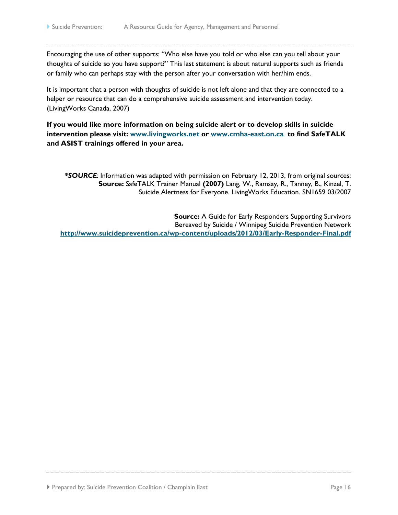Encouraging the use of other supports: "Who else have you told or who else can you tell about your thoughts of suicide so you have support?" This last statement is about natural supports such as friends or family who can perhaps stay with the person after your conversation with her/him ends.

It is important that a person with thoughts of suicide is not left alone and that they are connected to a helper or resource that can do a comprehensive suicide assessment and intervention today. (LivingWorks Canada, 2007)

**If you would like more information on being suicide alert or to develop skills in suicide intervention please visit: [www.livingworks.net](http://www.livingworks.net/) or [www.cmha-east.on.ca](http://www.cmha-east.on.ca/) to find SafeTALK and ASIST trainings offered in your area.**

*\*SOURCE:* Information was adapted with permission on February 12, 2013, from original sources: **Source:** SafeTALK Trainer Manual **(2007)** Lang, W., Ramsay, R., Tanney, B., Kinzel, T. Suicide Alertness for Everyone. LivingWorks Education. SN1659 03/2007

**Source:** A Guide for Early Responders Supporting Survivors Bereaved by Suicide / Winnipeg Suicide Prevention Network **<http://www.suicideprevention.ca/wp-content/uploads/2012/03/Early-Responder-Final.pdf>**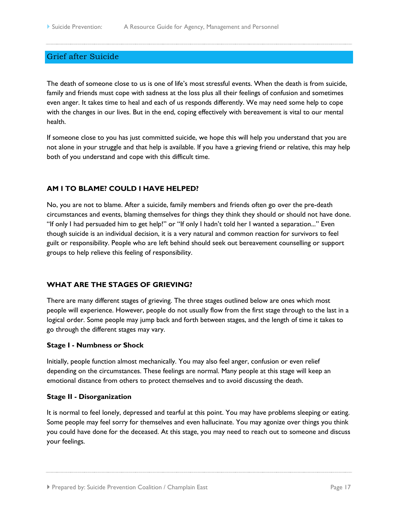# <span id="page-16-0"></span>Grief after Suicide

The death of someone close to us is one of life's most stressful events. When the death is from suicide, family and friends must cope with sadness at the loss plus all their feelings of confusion and sometimes even anger. It takes time to heal and each of us responds differently. We may need some help to cope with the changes in our lives. But in the end, coping effectively with bereavement is vital to our mental health.

If someone close to you has just committed suicide, we hope this will help you understand that you are not alone in your struggle and that help is available. If you have a grieving friend or relative, this may help both of you understand and cope with this difficult time.

#### **AM I TO BLAME? COULD I HAVE HELPED?**

No, you are not to blame. After a suicide, family members and friends often go over the pre-death circumstances and events, blaming themselves for things they think they should or should not have done. "If only I had persuaded him to get help!" or "If only I hadn't told her I wanted a separation..." Even though suicide is an individual decision, it is a very natural and common reaction for survivors to feel guilt or responsibility. People who are left behind should seek out bereavement counselling or support groups to help relieve this feeling of responsibility.

#### **WHAT ARE THE STAGES OF GRIEVING?**

There are many different stages of grieving. The three stages outlined below are ones which most people will experience. However, people do not usually flow from the first stage through to the last in a logical order. Some people may jump back and forth between stages, and the length of time it takes to go through the different stages may vary.

#### **Stage I - Numbness or Shock**

Initially, people function almost mechanically. You may also feel anger, confusion or even relief depending on the circumstances. These feelings are normal. Many people at this stage will keep an emotional distance from others to protect themselves and to avoid discussing the death.

#### **Stage II - Disorganization**

It is normal to feel lonely, depressed and tearful at this point. You may have problems sleeping or eating. Some people may feel sorry for themselves and even hallucinate. You may agonize over things you think you could have done for the deceased. At this stage, you may need to reach out to someone and discuss your feelings.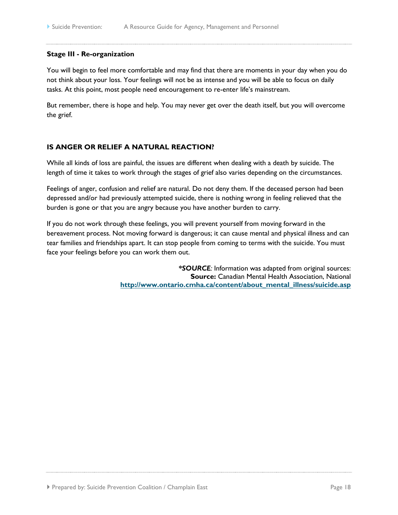#### **Stage III - Re-organization**

You will begin to feel more comfortable and may find that there are moments in your day when you do not think about your loss. Your feelings will not be as intense and you will be able to focus on daily tasks. At this point, most people need encouragement to re-enter life's mainstream.

But remember, there is hope and help. You may never get over the death itself, but you will overcome the grief.

# **IS ANGER OR RELIEF A NATURAL REACTION?**

While all kinds of loss are painful, the issues are different when dealing with a death by suicide. The length of time it takes to work through the stages of grief also varies depending on the circumstances.

Feelings of anger, confusion and relief are natural. Do not deny them. If the deceased person had been depressed and/or had previously attempted suicide, there is nothing wrong in feeling relieved that the burden is gone or that you are angry because you have another burden to carry.

If you do not work through these feelings, you will prevent yourself from moving forward in the bereavement process. Not moving forward is dangerous; it can cause mental and physical illness and can tear families and friendships apart. It can stop people from coming to terms with the suicide. You must face your feelings before you can work them out.

> *\*SOURCE:* Information was adapted from original sources: **Source:** Canadian Mental Health Association, National **[http://www.ontario.cmha.ca/content/about\\_mental\\_illness/suicide.asp](http://www.ontario.cmha.ca/content/about_mental_illness/suicide.asp)**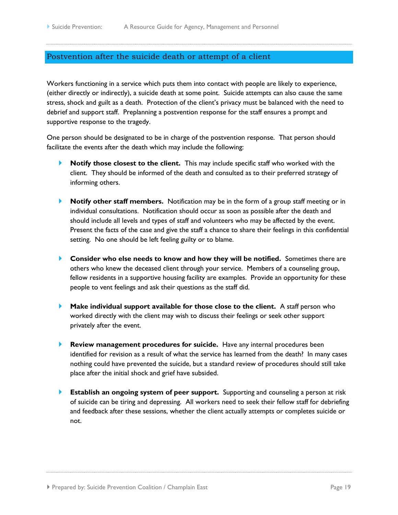# <span id="page-18-0"></span>Postvention after the suicide death or attempt of a client

Workers functioning in a service which puts them into contact with people are likely to experience, (either directly or indirectly), a suicide death at some point. Suicide attempts can also cause the same stress, shock and guilt as a death. Protection of the client's privacy must be balanced with the need to debrief and support staff. Preplanning a postvention response for the staff ensures a prompt and supportive response to the tragedy.

One person should be designated to be in charge of the postvention response. That person should facilitate the events after the death which may include the following:

- **Notify those closest to the client.** This may include specific staff who worked with the client. They should be informed of the death and consulted as to their preferred strategy of informing others.
- **Notify other staff members.** Notification may be in the form of a group staff meeting or in individual consultations. Notification should occur as soon as possible after the death and should include all levels and types of staff and volunteers who may be affected by the event. Present the facts of the case and give the staff a chance to share their feelings in this confidential setting. No one should be left feeling guilty or to blame.
- **Consider who else needs to know and how they will be notified.** Sometimes there are others who knew the deceased client through your service. Members of a counseling group, fellow residents in a supportive housing facility are examples. Provide an opportunity for these people to vent feelings and ask their questions as the staff did.
- **Make individual support available for those close to the client.** A staff person who worked directly with the client may wish to discuss their feelings or seek other support privately after the event.
- **Review management procedures for suicide.** Have any internal procedures been identified for revision as a result of what the service has learned from the death? In many cases nothing could have prevented the suicide, but a standard review of procedures should still take place after the initial shock and grief have subsided.
- **Establish an ongoing system of peer support.** Supporting and counseling a person at risk of suicide can be tiring and depressing. All workers need to seek their fellow staff for debriefing and feedback after these sessions, whether the client actually attempts or completes suicide or not.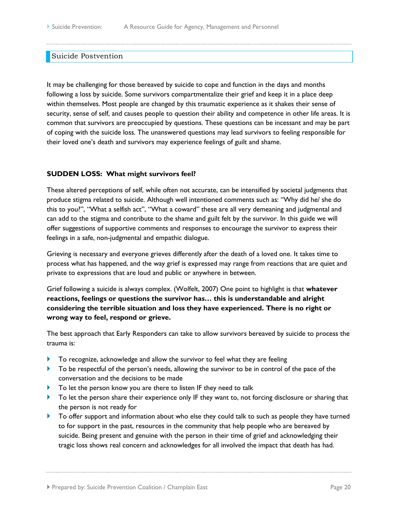#### <span id="page-19-0"></span>Suicide Postvention

It may be challenging for those bereaved by suicide to cope and function in the days and months following a loss by suicide. Some survivors compartmentalize their grief and keep it in a place deep within themselves. Most people are changed by this traumatic experience as it shakes their sense of security, sense of self, and causes people to question their ability and competence in other life areas. It is common that survivors are preoccupied by questions. These questions can be incessant and may be part of coping with the suicide loss. The unanswered questions may lead survivors to feeling responsible for their loved one's death and survivors may experience feelings of guilt and shame.

#### **SUDDEN LOSS: What might survivors feel?**

These altered perceptions of self, while often not accurate, can be intensified by societal judgments that produce stigma related to suicide. Although well intentioned comments such as: "Why did he/ she do this to you?", "What a selfish act", "What a coward" these are all very demeaning and judgmental and can add to the stigma and contribute to the shame and guilt felt by the survivor. In this guide we will offer suggestions of supportive comments and responses to encourage the survivor to express their feelings in a safe, non-judgmental and empathic dialogue.

Grieving is necessary and everyone grieves differently after the death of a loved one. It takes time to process what has happened, and the way grief is expressed may range from reactions that are quiet and private to expressions that are loud and public or anywhere in between.

Grief following a suicide is always complex. (Wolfelt, 2007) One point to highlight is that **whatever reactions, feelings or questions the survivor has… this is understandable and alright considering the terrible situation and loss they have experienced. There is no right or wrong way to feel, respond or grieve.**

The best approach that Early Responders can take to allow survivors bereaved by suicide to process the trauma is:

- To recognize, acknowledge and allow the survivor to feel what they are feeling
- To be respectful of the person's needs, allowing the survivor to be in control of the pace of the conversation and the decisions to be made
- To let the person know you are there to listen IF they need to talk
- To let the person share their experience only IF they want to, not forcing disclosure or sharing that the person is not ready for
- To offer support and information about who else they could talk to such as people they have turned to for support in the past, resources in the community that help people who are bereaved by suicide. Being present and genuine with the person in their time of grief and acknowledging their tragic loss shows real concern and acknowledges for all involved the impact that death has had.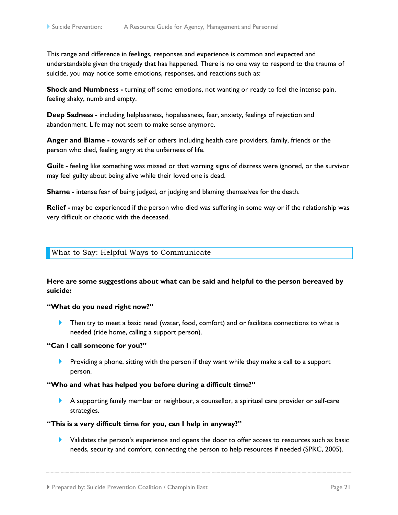This range and difference in feelings, responses and experience is common and expected and understandable given the tragedy that has happened. There is no one way to respond to the trauma of suicide, you may notice some emotions, responses, and reactions such as:

**Shock and Numbness -** turning off some emotions, not wanting or ready to feel the intense pain, feeling shaky, numb and empty.

**Deep Sadness -** including helplessness, hopelessness, fear, anxiety, feelings of rejection and abandonment. Life may not seem to make sense anymore.

**Anger and Blame -** towards self or others including health care providers, family, friends or the person who died, feeling angry at the unfairness of life.

**Guilt -** feeling like something was missed or that warning signs of distress were ignored, or the survivor may feel guilty about being alive while their loved one is dead.

**Shame -** intense fear of being judged, or judging and blaming themselves for the death.

**Relief -** may be experienced if the person who died was suffering in some way or if the relationship was very difficult or chaotic with the deceased.

#### <span id="page-20-0"></span>What to Say: Helpful Ways to Communicate

# **Here are some suggestions about what can be said and helpful to the person bereaved by suicide:**

#### **"What do you need right now?"**

Then try to meet a basic need (water, food, comfort) and or facilitate connections to what is needed (ride home, calling a support person).

#### **"Can I call someone for you?"**

**Providing a phone, sitting with the person if they want while they make a call to a support** person.

#### **"Who and what has helped you before during a difficult time?"**

 A supporting family member or neighbour, a counsellor, a spiritual care provider or self-care strategies.

#### **"This is a very difficult time for you, can I help in anyway?"**

**Validates the person's experience and opens the door to offer access to resources such as basic** needs, security and comfort, connecting the person to help resources if needed (SPRC, 2005).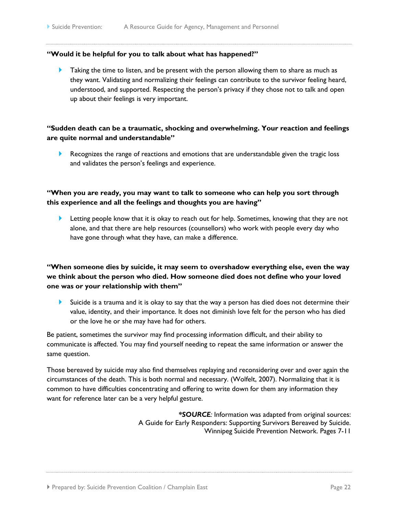#### **"Would it be helpful for you to talk about what has happened?"**

**Taking the time to listen, and be present with the person allowing them to share as much as** they want. Validating and normalizing their feelings can contribute to the survivor feeling heard, understood, and supported. Respecting the person's privacy if they chose not to talk and open up about their feelings is very important.

# **"Sudden death can be a traumatic, shocking and overwhelming. Your reaction and feelings are quite normal and understandable"**

 Recognizes the range of reactions and emotions that are understandable given the tragic loss and validates the person's feelings and experience.

# **"When you are ready, you may want to talk to someone who can help you sort through this experience and all the feelings and thoughts you are having"**

**Letting people know that it is okay to reach out for help. Sometimes, knowing that they are not** alone, and that there are help resources (counsellors) who work with people every day who have gone through what they have, can make a difference.

# **"When someone dies by suicide, it may seem to overshadow everything else, even the way we think about the person who died. How someone died does not define who your loved one was or your relationship with them"**

 $\blacktriangleright$  Suicide is a trauma and it is okay to say that the way a person has died does not determine their value, identity, and their importance. It does not diminish love felt for the person who has died or the love he or she may have had for others.

Be patient, sometimes the survivor may find processing information difficult, and their ability to communicate is affected. You may find yourself needing to repeat the same information or answer the same question.

Those bereaved by suicide may also find themselves replaying and reconsidering over and over again the circumstances of the death. This is both normal and necessary. (Wolfelt, 2007). Normalizing that it is common to have difficulties concentrating and offering to write down for them any information they want for reference later can be a very helpful gesture.

> *\*SOURCE:* Information was adapted from original sources: A Guide for Early Responders: Supporting Survivors Bereaved by Suicide. Winnipeg Suicide Prevention Network. Pages 7-11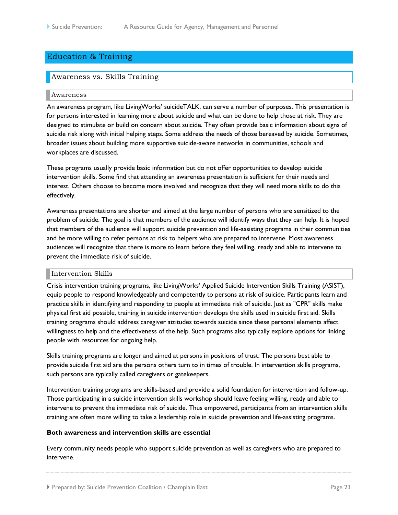# <span id="page-22-0"></span>Education & Training

## <span id="page-22-1"></span>Awareness vs. Skills Training

#### <span id="page-22-2"></span>Awareness

An awareness program, like LivingWorks' suicideTALK, can serve a number of purposes. This presentation is for persons interested in learning more about suicide and what can be done to help those at risk. They are designed to stimulate or build on concern about suicide. They often provide basic information about signs of suicide risk along with initial helping steps. Some address the needs of those bereaved by suicide. Sometimes, broader issues about building more supportive suicide-aware networks in communities, schools and workplaces are discussed.

These programs usually provide basic information but do not offer opportunities to develop suicide intervention skills. Some find that attending an awareness presentation is sufficient for their needs and interest. Others choose to become more involved and recognize that they will need more skills to do this effectively.

Awareness presentations are shorter and aimed at the large number of persons who are sensitized to the problem of suicide. The goal is that members of the audience will identify ways that they can help. It is hoped that members of the audience will support suicide prevention and life-assisting programs in their communities and be more willing to refer persons at risk to helpers who are prepared to intervene. Most awareness audiences will recognize that there is more to learn before they feel willing, ready and able to intervene to prevent the immediate risk of suicide.

#### <span id="page-22-3"></span>Intervention Skills

Crisis intervention training programs, like LivingWorks' Applied Suicide Intervention Skills Training (ASIST), equip people to respond knowledgeably and competently to persons at risk of suicide. Participants learn and practice skills in identifying and responding to people at immediate risk of suicide. Just as "CPR" skills make physical first aid possible, training in suicide intervention develops the skills used in suicide first aid. Skills training programs should address caregiver attitudes towards suicide since these personal elements affect willingness to help and the effectiveness of the help. Such programs also typically explore options for linking people with resources for ongoing help.

Skills training programs are longer and aimed at persons in positions of trust. The persons best able to provide suicide first aid are the persons others turn to in times of trouble. In intervention skills programs, such persons are typically called caregivers or gatekeepers.

Intervention training programs are skills-based and provide a solid foundation for intervention and follow-up. Those participating in a suicide intervention skills workshop should leave feeling willing, ready and able to intervene to prevent the immediate risk of suicide. Thus empowered, participants from an intervention skills training are often more willing to take a leadership role in suicide prevention and life-assisting programs.

#### **Both awareness and intervention skills are essential**

Every community needs people who support suicide prevention as well as caregivers who are prepared to intervene.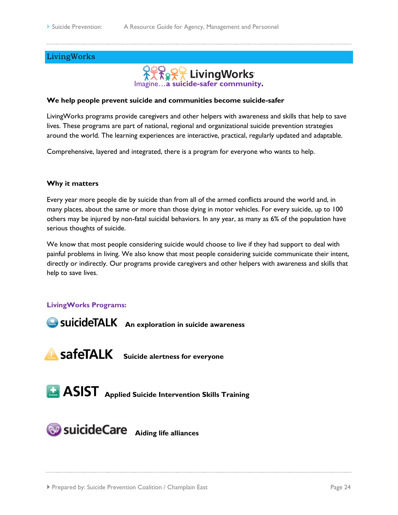# <span id="page-23-0"></span>LivingWorks



### **We help people prevent suicide and communities become suicide-safer**

LivingWorks programs provide caregivers and other helpers with awareness and skills that help to save lives. These programs are part of national, regional and organizational suicide prevention strategies around the world. The learning experiences are interactive, practical, regularly updated and adaptable.

Comprehensive, layered and integrated, there is a program for everyone who wants to help.

#### **Why it matters**

Every year more people die by suicide than from all of the armed conflicts around the world and, in many places, about the same or more than those dying in motor vehicles. For every suicide, up to 100 others may be injured by non-fatal suicidal behaviors. In any year, as many as 6% of the population have serious thoughts of suicide.

We know that most people considering suicide would choose to live if they had support to deal with painful problems in living. We also know that most people considering suicide communicate their intent, directly or indirectly. Our programs provide caregivers and other helpers with awareness and skills that help to save lives.

#### **LivingWorks Programs:**

**An exploration in suicide awareness** 

**SafeTALK** Suicide alertness for everyone

**ASIST** Applied Suicide Intervention Skills Training

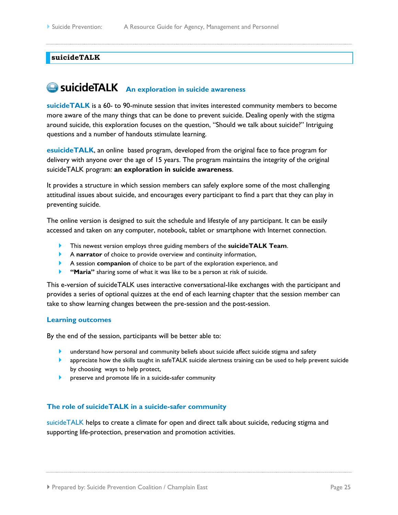#### <span id="page-24-0"></span>**suicideTALK**

# **An exploration in suicide awareness**

**suicideTALK** is a 60- to 90-minute session that invites interested community members to become more aware of the many things that can be done to prevent suicide. Dealing openly with the stigma around suicide, this exploration focuses on the question, "Should we talk about suicide?" Intriguing questions and a number of handouts stimulate learning.

**esuicideTALK**, an online based program, developed from the original face to face program for delivery with anyone over the age of 15 years. The program maintains the integrity of the original suicideTALK program: **an exploration in suicide awareness**.

It provides a structure in which session members can safely explore some of the most challenging attitudinal issues about suicide, and encourages every participant to find a part that they can play in preventing suicide.

The online version is designed to suit the schedule and lifestyle of any participant. It can be easily accessed and taken on any computer, notebook, tablet or smartphone with Internet connection.

- This newest version employs three guiding members of the **suicideTALK Team**.
- A **narrator** of choice to provide overview and continuity information,
- A session **companion** of choice to be part of the exploration experience, and
- "Maria" sharing some of what it was like to be a person at risk of suicide.

This e-version of suicideTALK uses interactive conversational-like exchanges with the participant and provides a series of optional quizzes at the end of each learning chapter that the session member can take to show learning changes between the pre-session and the post-session.

#### **Learning outcomes**

By the end of the session, participants will be better able to:

- understand how personal and community beliefs about suicide affect suicide stigma and safety
- **EXECUTE:** appreciate how the skills taught in safeTALK suicide alertness training can be used to help prevent suicide by choosing ways to help protect,
- **P** preserve and promote life in a suicide-safer community

#### **The role of suicideTALK in a suicide-safer community**

suicideTALK helps to create a climate for open and direct talk about suicide, reducing stigma and supporting life-protection, preservation and promotion activities.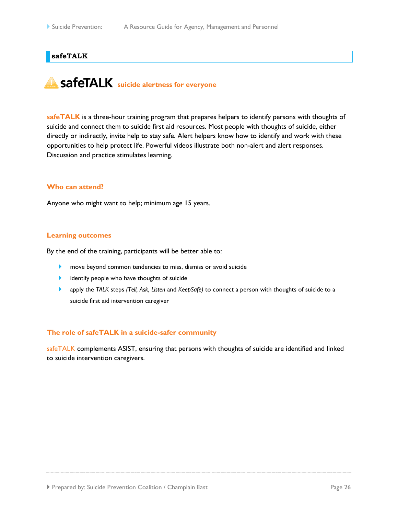### <span id="page-25-0"></span>**safeTALK**

# **safeTALK** suicide alertness for everyone

**safeTALK** is a three-hour training program that prepares helpers to identify persons with thoughts of suicide and connect them to suicide first aid resources. Most people with thoughts of suicide, either directly or indirectly, invite help to stay safe. Alert helpers know how to identify and work with these opportunities to help protect life. Powerful videos illustrate both non-alert and alert responses. Discussion and practice stimulates learning.

#### **Who can attend?**

Anyone who might want to help; minimum age 15 years.

#### **Learning outcomes**

By the end of the training, participants will be better able to:

- **Move beyond common tendencies to miss, dismiss or avoid suicide**
- **I** identify people who have thoughts of suicide
- apply the *TALK* steps *(Tell, Ask, Listen* and *KeepSafe)* to connect a person with thoughts of suicide to a suicide first aid intervention caregiver

#### **The role of safeTALK in a suicide-safer community**

safeTALK complements ASIST, ensuring that persons with thoughts of suicide are identified and linked to suicide intervention caregivers.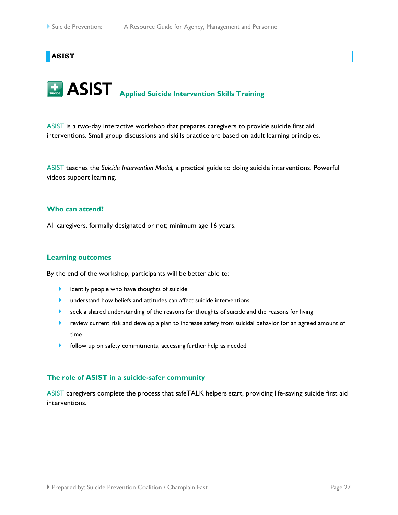#### <span id="page-26-0"></span>**ASIST**

# **ASIST** Applied Suicide Intervention Skills Training

ASIST is a two-day interactive workshop that prepares caregivers to provide suicide first aid interventions. Small group discussions and skills practice are based on adult learning principles.

ASIST teaches the *Suicide Intervention Model,* a practical guide to doing suicide interventions. Powerful videos support learning.

#### **Who can attend?**

All caregivers, formally designated or not; minimum age 16 years.

#### **Learning outcomes**

By the end of the workshop, participants will be better able to:

- **In identify people who have thoughts of suicide**
- **IF** understand how beliefs and attitudes can affect suicide interventions
- **EXECT** seek a shared understanding of the reasons for thoughts of suicide and the reasons for living
- **EXECT** review current risk and develop a plan to increase safety from suicidal behavior for an agreed amount of time
- **b** follow up on safety commitments, accessing further help as needed

#### **The role of ASIST in a suicide-safer community**

ASIST caregivers complete the process that safeTALK helpers start, providing life-saving suicide first aid interventions.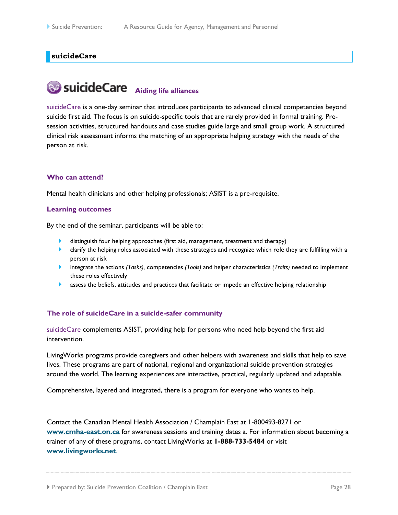#### <span id="page-27-0"></span>**suicideCare**

# **89 SuicideCare** Aiding life alliances

suicideCare is a one-day seminar that introduces participants to advanced clinical competencies beyond suicide first aid. The focus is on suicide-specific tools that are rarely provided in formal training. Presession activities, structured handouts and case studies guide large and small group work. A structured clinical risk assessment informs the matching of an appropriate helping strategy with the needs of the person at risk.

#### **Who can attend?**

Mental health clinicians and other helping professionals; ASIST is a pre-requisite.

#### **Learning outcomes**

By the end of the seminar, participants will be able to:

- distinguish four helping approaches (first aid, management, treatment and therapy)
- **•** clarify the helping roles associated with these strategies and recognize which role they are fulfilling with a person at risk
- integrate the actions *(Tasks),* competencies *(Tools)* and helper characteristics *(Traits)* needed to implement these roles effectively
- **assess the beliefs, attitudes and practices that facilitate or impede an effective helping relationship**

#### **The role of suicideCare in a suicide-safer community**

suicideCare complements ASIST, providing help for persons who need help beyond the first aid intervention.

LivingWorks programs provide caregivers and other helpers with awareness and skills that help to save lives. These programs are part of national, regional and organizational suicide prevention strategies around the world. The learning experiences are interactive, practical, regularly updated and adaptable.

Comprehensive, layered and integrated, there is a program for everyone who wants to help.

Contact the Canadian Mental Health Association / Champlain East at 1-800493-8271 or **[www.cmha-east.on.ca](http://www.cmha-east.on.ca/)** for awareness sessions and training dates a. For information about becoming a trainer of any of these programs, contact LivingWorks at **1-888-733-5484** or visit **[www.livingworks.net](file:///C:/Users/perreaultf/AppData/Local/Microsoft/Windows/Temporary%20Internet%20Files/Content.Outlook/H03LHSMT/www.livingworks.net)**.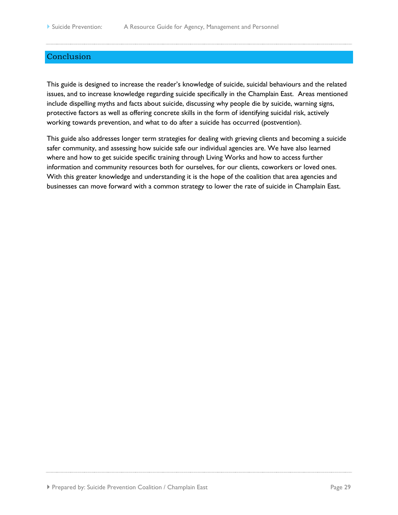# <span id="page-28-0"></span>Conclusion

This guide is designed to increase the reader's knowledge of suicide, suicidal behaviours and the related issues, and to increase knowledge regarding suicide specifically in the Champlain East. Areas mentioned include dispelling myths and facts about suicide, discussing why people die by suicide, warning signs, protective factors as well as offering concrete skills in the form of identifying suicidal risk, actively working towards prevention, and what to do after a suicide has occurred (postvention).

This guide also addresses longer term strategies for dealing with grieving clients and becoming a suicide safer community, and assessing how suicide safe our individual agencies are. We have also learned where and how to get suicide specific training through Living Works and how to access further information and community resources both for ourselves, for our clients, coworkers or loved ones. With this greater knowledge and understanding it is the hope of the coalition that area agencies and businesses can move forward with a common strategy to lower the rate of suicide in Champlain East.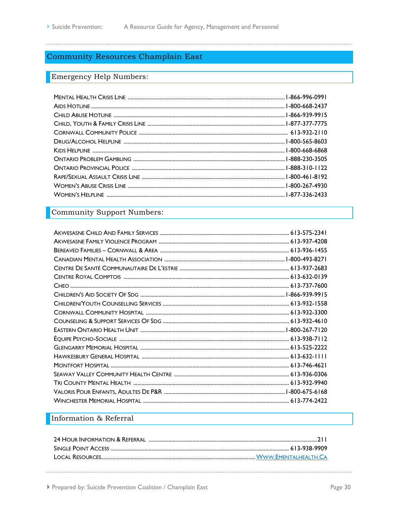# <span id="page-29-0"></span>**Community Resources Champlain East**

# <span id="page-29-1"></span>Emergency Help Numbers:

# <span id="page-29-2"></span>Community Support Numbers:

# <span id="page-29-3"></span>Information & Referral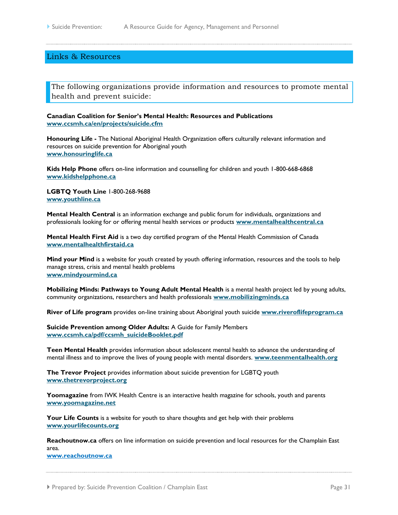#### <span id="page-30-0"></span>Links & Resources

<span id="page-30-1"></span>The following organizations provide information and resources to promote mental health and prevent suicide:

**Canadian Coalition for Senior's Mental Health: Resources and Publications [www.ccsmh.ca/en/projects/suicide.cfm](http://www.ccsmh.ca/en/projects/suicide.cfm)**

**Honouring Life -** The National Aboriginal Health Organization offers culturally relevant information and resources on suicide prevention for Aboriginal youth **[www.honouringlife.ca](http://www.honouringlife.ca/)**

**Kids Help Phone** offers on-line information and counselling for children and youth 1-800-668-6868 **[www.kidshelpphone.ca](http://www.kidshelpphone.ca/teens/home/splash.aspx)**

**LGBTQ Youth Line** 1-800-268-9688 **[www.youthline.ca](http://www.youthline.ca/)**

**Mental Health Central** is an information exchange and public forum for individuals, organizations and professionals looking for or offering mental health services or products **[www.mentalhealthcentral.ca](http://www.moodsmag.com/mhc/)**

**Mental Health First Aid** is a two day certified program of the Mental Health Commission of Canada **[www.mentalhealthfirstaid.ca](http://www.mentalhealthfirstaid.ca/EN/Pages/default.aspx)**

**Mind your Mind** is a website for youth created by youth offering information, resources and the tools to help manage stress, crisis and mental health problems **[www.mindyourmind.ca](http://www.mindyourmind.ca/)**

**Mobilizing Minds: Pathways to Young Adult Mental Health** is a mental health project led by young adults, community organizations, researchers and health professionals **[www.mobilizingminds.ca](http://www.mobilizingminds.ca/)**

**River of Life program** provides on-line training about Aboriginal youth suicide **[www.riveroflifeprogram.ca](http://www.riveroflifeprogram.ca/)**

**Suicide Prevention among Older Adults:** A Guide for Family Members **[www.ccsmh.ca/pdf/ccsmh\\_suicideBooklet.pdf](http://www.ccsmh.ca/pdf/ccsmh_suicideBooklet.pdf)**

**Teen Mental Health** provides information about adolescent mental health to advance the understanding of mental illness and to improve the lives of young people with mental disorders. **[www.teenmentalhealth.org](http://www.teenmentalhealth.org/)**

**The Trevor Project** provides information about suicide prevention for LGBTQ youth **[www.thetrevorproject.org](http://www.thetrevorproject.org/)**

**Yoomagazine** from IWK Health Centre is an interactive health magazine for schools, youth and parents **[www.yoomagazine.net](http://www.yoomagazine.net/)**

**Your Life Counts** is a website for youth to share thoughts and get help with their problems **[www.yourlifecounts.org](http://www.yourlifecounts.org/)**

**Reachoutnow.ca** offers on line information on suicide prevention and local resources for the Champlain East area.

**[www.reachoutnow.ca](http://www.reachoutnow.ca/)**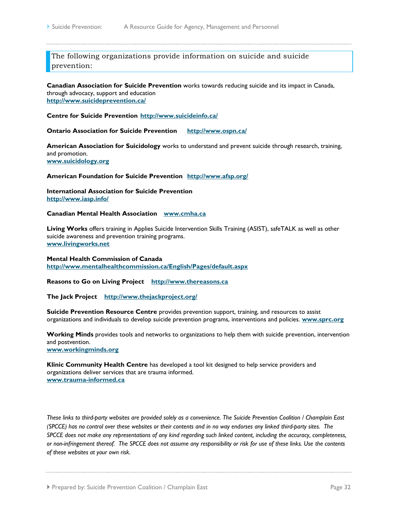<span id="page-31-0"></span>The following organizations provide information on suicide and suicide prevention:

**Canadian Association for Suicide Prevention** works towards reducing suicide and its impact in Canada, through advocacy, support and education **<http://www.suicideprevention.ca/>**

**Centre for Suicide Prevention <http://www.suicideinfo.ca/>**

**Ontario Association for Suicide Prevention <http://www.ospn.ca/>**

**American Association for Suicidology** works to understand and prevent suicide through research, training, and promotion. **[www.suicidology.org](http://www.suicidology.org/)**

**American Foundation for Suicide Prevention <http://www.afsp.org/>**

**International Association for Suicide Prevention <http://www.iasp.info/>**

**Canadian Mental Health Association [www.cmha.ca](http://www.cmha.ca/)**

**Living Works** offers training in Applies Suicide Intervention Skills Training (ASIST), safeTALK as well as other suicide awareness and prevention training programs. **[www.livingworks.net](http://www.livingworks.net/)**

**Mental Health Commission of Canada <http://www.mentalhealthcommission.ca/English/Pages/default.aspx>**

**Reasons to Go on Living Project [http://www.thereasons.ca](http://www.thereasons.ca/)**

**The Jack Project <http://www.thejackproject.org/>**

**Suicide Prevention Resource Centre** provides prevention support, training, and resources to assist organizations and individuals to develop suicide prevention programs, interventions and policies. **[www.sprc.org](http://www.sprc.org/)**

**Working Minds** provides tools and networks to organizations to help them with suicide prevention, intervention and postvention. **[www.workingminds.org](http://www.workingminds.org/)**

**Klinic Community Health Centre** has developed a tool kit designed to help service providers and organizations deliver services that are trauma informed. **[www.trauma-informed.ca](http://www.trauma-informed.ca/)**

*These links to third-party websites are provided solely as a convenience. The Suicide Prevention Coalition / Champlain East (SPCCE) has no control over these websites or their contents and in no way endorses any linked third-party sites. The SPCCE does not make any representations of any kind regarding such linked content, including the accuracy, completeness, or non-infringement thereof. The SPCCE does not assume any responsibility or risk for use of these links. Use the contents of these websites at your own risk.*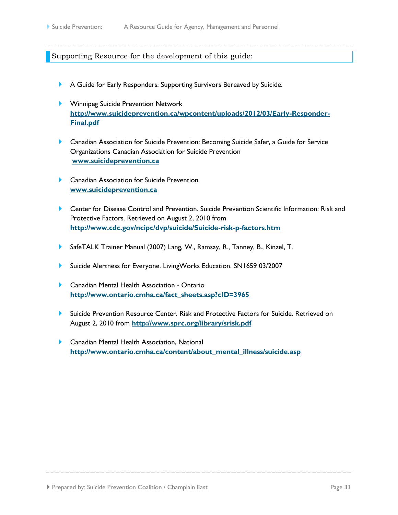#### <span id="page-32-0"></span>Supporting Resource for the development of this guide:

- A Guide for Early Responders: Supporting Survivors Bereaved by Suicide.
- **Winnipeg Suicide Prevention Network [http://www.suicideprevention.ca/wpcontent/uploads/2012/03/Early-Responder-](http://www.suicideprevention.ca/wpcontent/uploads/2012/03/Early-Responder-Final.pdf)[Final.pdf](http://www.suicideprevention.ca/wpcontent/uploads/2012/03/Early-Responder-Final.pdf)**
- Canadian Association for Suicide Prevention: Becoming Suicide Safer, a Guide for Service Organizations Canadian Association for Suicide Prevention **[www.suicideprevention.ca](http://www.suicideprevention.ca/)**
- **Canadian Association for Suicide Prevention [www.suicideprevention.ca](http://www.suicideprevention.ca/)**
- Center for Disease Control and Prevention. Suicide Prevention Scientific Information: Risk and Protective Factors. Retrieved on August 2, 2010 from **<http://www.cdc.gov/ncipc/dvp/suicide/Suicide-risk-p-factors.htm>**
- SafeTALK Trainer Manual (2007) Lang, W., Ramsay, R., Tanney, B., Kinzel, T.
- Suicide Alertness for Everyone. LivingWorks Education. SN1659 03/2007
- **Canadian Mental Health Association Ontario [http://www.ontario.cmha.ca/fact\\_sheets.asp?cID=3965](http://www.ontario.cmha.ca/fact_sheets.asp?cID=3965)**
- Suicide Prevention Resource Center. Risk and Protective Factors for Suicide. Retrieved on August 2, 2010 from **<http://www.sprc.org/library/srisk.pdf>**
- ▶ Canadian Mental Health Association, National **[http://www.ontario.cmha.ca/content/about\\_mental\\_illness/suicide.asp](http://www.ontario.cmha.ca/content/about_mental_illness/suicide.asp)**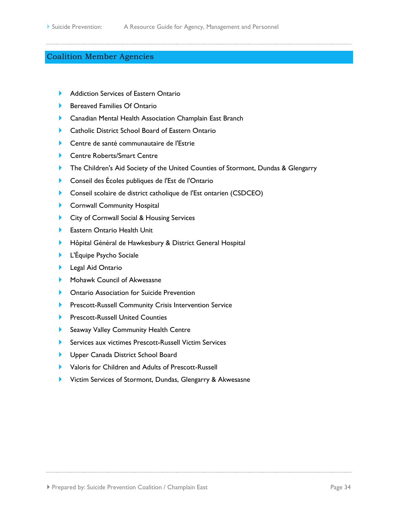# <span id="page-33-0"></span>Coalition Member Agencies

- [Addiction Services of Eastern Ontario](http://www.aseo-steo.org/)
- ▶ [Bereaved Families Of Ontario](http://www.bfocornwall.ca/)
- **[Canadian Mental Health Association Champlain East Branch](http://www.cmha-east.on.ca/)**
- **[Catholic District School Board of Eastern Ontario](http://www.cdsbeo.on.ca/)**
- [Centre de santé communautaire de l'Estrie](http://www.cscestrie.on.ca/)
- ▶ [Centre Roberts/Smart Centre](http://www.rsc-crs.com/)
- [The Children's Aid Society of the United Counties of Stormont, Dundas & Glengarry](http://www.cassdg.ca/)
- [Conseil des Écoles publiques de l'Est de l'Ontario](http://www.cepeo.on.ca/)
- [Conseil scolaire de district catholique de l'Est ontarien \(CSDCEO\)](http://www.csdceo.on.ca/)
- **[Cornwall Community Hospital](http://www.cornwallhospital.ca/)**
- **[City of Cornwall Social & Housing Services](http://www.cornwall.ca/en/socialservices/socialservices.asp?_mid_=5801)**
- ▶ [Eastern Ontario Health Unit](http://www.eohu.ca/)
- Hôpital Général [de Hawkesbury & District General Hospital](http://www.hgh.ca/)
- **L'Équipe [Psycho Sociale](http://www.equipepsychosociale.ca/)**
- **[Legal Aid Ontario](http://www.lao.on.ca/)**
- [Mohawk Council of Akwesasne](http://www.akwesasne.ca/)
- **Demontario Association for Suicide Prevention**
- **[Prescott-Russell Community Crisis Intervention Service](http://www.hopitalmontfort.com/service-de-crise-en-sante-mentale-de-prescott-russell.cfm)**
- **[Prescott-Russell United Counties](http://www.prescott-russell.on.ca/)**
- **[Seaway Valley Community Health Centre](http://www.seawayvalleychc.ca/)**
- Services aux victimes [Prescott-Russell Victim Services](http://www.svsprescottrussell.ca/)
- **[Upper Canada District School Board](http://www.ucdsb.on.ca/)**
- [Valoris for Children and Adults of Prescott-Russell](http://www.valorispr.ca/)
- **Victim Services of [Stormont, Dundas, Glengarry & Akwesasne](http://www.vsv-sdga.ca/)**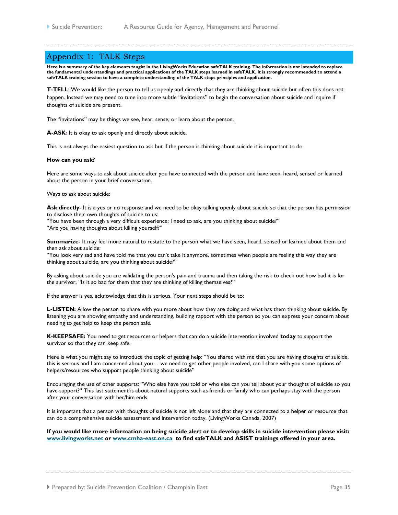## <span id="page-34-0"></span>Appendix 1: TALK Steps

**Here is a summary of the key elements taught in the LivingWorks Education safeTALK training. The information is not intended to replace the fundamental understandings and practical applications of the TALK steps learned in safeTALK. It is strongly recommended to attend a safeTALK training session to have a complete understanding of the TALK steps principles and application.**

**T-TELL**: We would like the person to tell us openly and directly that they are thinking about suicide but often this does not happen. Instead we may need to tune into more subtle "invitations" to begin the conversation about suicide and inquire if thoughts of suicide are present.

The "invitations" may be things we see, hear, sense, or learn about the person.

**A-ASK:** It is okay to ask openly and directly about suicide.

This is not always the easiest question to ask but if the person is thinking about suicide it is important to do.

#### **How can you ask?**

Here are some ways to ask about suicide after you have connected with the person and have seen, heard, sensed or learned about the person in your brief conversation.

Ways to ask about suicide:

Ask directly- It is a yes or no response and we need to be okay talking openly about suicide so that the person has permission to disclose their own thoughts of suicide to us:

"You have been through a very difficult experience; I need to ask, are you thinking about suicide?"

"Are you having thoughts about killing yourself?"

**Summarize-** It may feel more natural to restate to the person what we have seen, heard, sensed or learned about them and then ask about suicide:

"You look very sad and have told me that you can't take it anymore, sometimes when people are feeling this way they are thinking about suicide, are you thinking about suicide?"

By asking about suicide you are validating the person's pain and trauma and then taking the risk to check out how bad it is for the survivor, "Is it so bad for them that they are thinking of killing themselves?"

If the answer is yes, acknowledge that this is serious. Your next steps should be to:

**L-LISTEN:** Allow the person to share with you more about how they are doing and what has them thinking about suicide. By listening you are showing empathy and understanding, building rapport with the person so you can express your concern about needing to get help to keep the person safe.

**K-KEEPSAFE:** You need to get resources or helpers that can do a suicide intervention involved **today** to support the survivor so that they can keep safe.

Here is what you might say to introduce the topic of getting help: "You shared with me that you are having thoughts of suicide, this is serious and I am concerned about you… we need to get other people involved, can I share with you some options of helpers/resources who support people thinking about suicide"

Encouraging the use of other supports: "Who else have you told or who else can you tell about your thoughts of suicide so you have support?" This last statement is about natural supports such as friends or family who can perhaps stay with the person after your conversation with her/him ends.

It is important that a person with thoughts of suicide is not left alone and that they are connected to a helper or resource that can do a comprehensive suicide assessment and intervention today. (LivingWorks Canada, 2007)

**If you would like more information on being suicide alert or to develop skills in suicide intervention please visit: [www.livingworks.net](http://www.livingworks.net/) or [www.cmha-east.on.ca](http://www.cmha-east.on.ca/) to find safeTALK and ASIST trainings offered in your area.**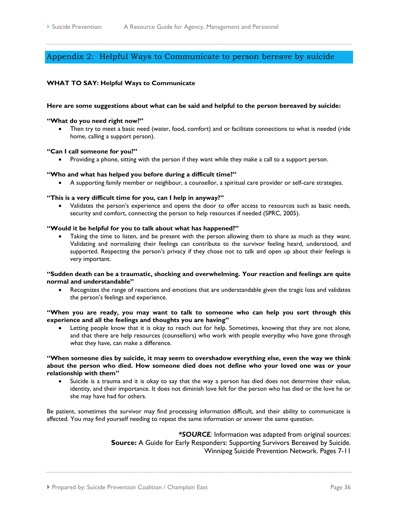# <span id="page-35-0"></span>Appendix 2: Helpful Ways to Communicate to person bereave by suicide

#### **WHAT TO SAY: Helpful Ways to Communicate**

#### **Here are some suggestions about what can be said and helpful to the person bereaved by suicide:**

#### **"What do you need right now?"**

 Then try to meet a basic need (water, food, comfort) and or facilitate connections to what is needed (ride home, calling a support person).

#### **"Can I call someone for you?"**

Providing a phone, sitting with the person if they want while they make a call to a support person.

#### **"Who and what has helped you before during a difficult time?"**

A supporting family member or neighbour, a counsellor, a spiritual care provider or self-care strategies.

#### **"This is a very difficult time for you, can I help in anyway?"**

 Validates the person's experience and opens the door to offer access to resources such as basic needs, security and comfort, connecting the person to help resources if needed (SPRC, 2005).

#### **"Would it be helpful for you to talk about what has happened?"**

 Taking the time to listen, and be present with the person allowing them to share as much as they want. Validating and normalizing their feelings can contribute to the survivor feeling heard, understood, and supported. Respecting the person's privacy if they chose not to talk and open up about their feelings is very important.

#### **"Sudden death can be a traumatic, shocking and overwhelming. Your reaction and feelings are quite normal and understandable"**

 Recognizes the range of reactions and emotions that are understandable given the tragic loss and validates the person's feelings and experience.

#### **"When you are ready, you may want to talk to someone who can help you sort through this experience and all the feelings and thoughts you are having"**

 Letting people know that it is okay to reach out for help. Sometimes, knowing that they are not alone, and that there are help resources (counsellors) who work with people everyday who have gone through what they have, can make a difference.

#### **"When someone dies by suicide, it may seem to overshadow everything else, even the way we think about the person who died. How someone died does not define who your loved one was or your relationship with them"**

 Suicide is a trauma and it is okay to say that the way a person has died does not determine their value, identity, and their importance. It does not diminish love felt for the person who has died or the love he or she may have had for others.

Be patient, sometimes the survivor may find processing information difficult, and their ability to communicate is affected. You may find yourself needing to repeat the same information or answer the same question.

> *\*SOURCE:* Information was adapted from original sources: **Source:** A Guide for Early Responders: Supporting Survivors Bereaved by Suicide. Winnipeg Suicide Prevention Network. Pages 7-11